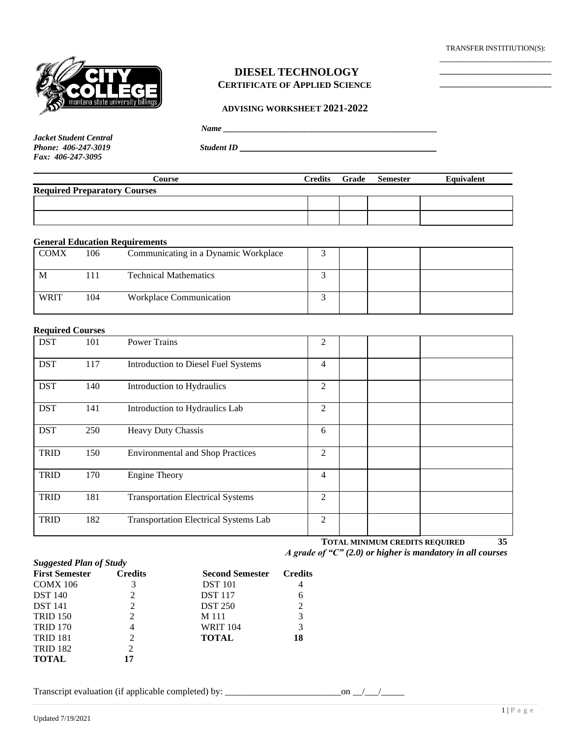TRANSFER INSTITIUTION(S): \_\_\_\_\_\_\_\_\_\_\_\_\_\_\_\_\_\_\_\_\_\_\_\_

\_\_\_\_\_\_\_\_\_\_\_\_\_\_\_\_\_\_\_\_ \_\_\_\_\_\_\_\_\_\_\_\_\_\_\_\_\_\_\_\_



### **DIESEL TECHNOLOGY CERTIFICATE OF APPLIED SCIENCE**

#### **ADVISING WORKSHEET 2021-2022**

 $Name \_$ 

*Jacket Student Central Fax: 406-247-3095*

*Phone: 406-247-3019 Student ID \_\_\_\_\_\_\_\_\_\_\_\_\_\_\_\_\_\_\_\_\_\_\_\_\_\_\_\_\_\_\_\_\_\_\_\_\_\_\_\_\_\_\_\_\_\_\_*

| Course                              |  | Credits Grade Semester | Equivalent |
|-------------------------------------|--|------------------------|------------|
| <b>Required Preparatory Courses</b> |  |                        |            |
|                                     |  |                        |            |
|                                     |  |                        |            |

### **General Education Requirements**

| <b>COMX</b> | 106 | Communicating in a Dynamic Workplace |  |  |
|-------------|-----|--------------------------------------|--|--|
| M           |     | <b>Technical Mathematics</b>         |  |  |
| <b>WRIT</b> | 104 | Workplace Communication              |  |  |

#### **Required Courses**

| <b>DST</b>  | 101 | <b>Power Trains</b>                      | $\overline{2}$ |  |
|-------------|-----|------------------------------------------|----------------|--|
| <b>DST</b>  | 117 | Introduction to Diesel Fuel Systems      | 4              |  |
| <b>DST</b>  | 140 | Introduction to Hydraulics               | 2              |  |
| <b>DST</b>  | 141 | Introduction to Hydraulics Lab           | $\overline{2}$ |  |
| <b>DST</b>  | 250 | <b>Heavy Duty Chassis</b>                | 6              |  |
| <b>TRID</b> | 150 | <b>Environmental and Shop Practices</b>  | $\overline{2}$ |  |
| <b>TRID</b> | 170 | <b>Engine Theory</b>                     | 4              |  |
| <b>TRID</b> | 181 | <b>Transportation Electrical Systems</b> | 2              |  |
| <b>TRID</b> | 182 | Transportation Electrical Systems Lab    | 2              |  |

 **TOTAL MINIMUM CREDITS REQUIRED 35**  *A grade of "C" (2.0) or higher is mandatory in all courses*

|                                                         |                |                        | $        -$    |
|---------------------------------------------------------|----------------|------------------------|----------------|
| <b>Suggested Plan of Study</b><br><b>First Semester</b> | <b>Credits</b> | <b>Second Semester</b> | <b>Credits</b> |
| <b>COMX 106</b>                                         |                | <b>DST</b> 101         | 4              |
| <b>DST</b> 140                                          | 2              | <b>DST</b> 117         | 6              |
| <b>DST</b> 141                                          | 2              | <b>DST 250</b>         | 2              |
| <b>TRID 150</b>                                         | 2              | M 111                  | 3              |
| <b>TRID 170</b>                                         | 4              | <b>WRIT 104</b>        | 3              |
| <b>TRID 181</b>                                         | $\overline{c}$ | <b>TOTAL</b>           | 18             |
| <b>TRID 182</b>                                         | 2              |                        |                |
| <b>TOTAL</b>                                            | 17             |                        |                |

Transcript evaluation (if applicable completed) by: \_\_\_\_\_\_\_\_\_\_\_\_\_\_\_\_\_\_\_\_\_\_\_\_\_on \_\_/\_\_\_/\_\_\_\_\_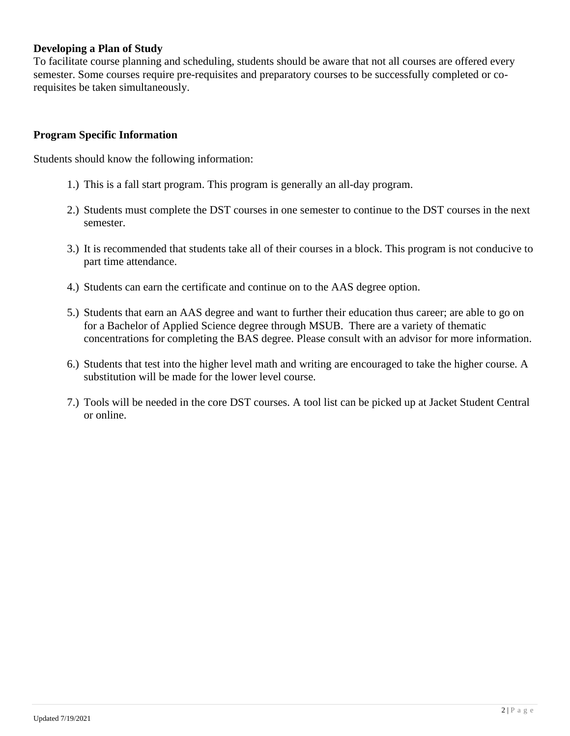## **Developing a Plan of Study**

To facilitate course planning and scheduling, students should be aware that not all courses are offered every semester. Some courses require pre-requisites and preparatory courses to be successfully completed or corequisites be taken simultaneously.

## **Program Specific Information**

Students should know the following information:

- 1.) This is a fall start program. This program is generally an all-day program.
- 2.) Students must complete the DST courses in one semester to continue to the DST courses in the next semester.
- 3.) It is recommended that students take all of their courses in a block. This program is not conducive to part time attendance.
- 4.) Students can earn the certificate and continue on to the AAS degree option.
- 5.) Students that earn an AAS degree and want to further their education thus career; are able to go on for a Bachelor of Applied Science degree through MSUB. There are a variety of thematic concentrations for completing the BAS degree. Please consult with an advisor for more information.
- 6.) Students that test into the higher level math and writing are encouraged to take the higher course. A substitution will be made for the lower level course.
- 7.) Tools will be needed in the core DST courses. A tool list can be picked up at Jacket Student Central or online.